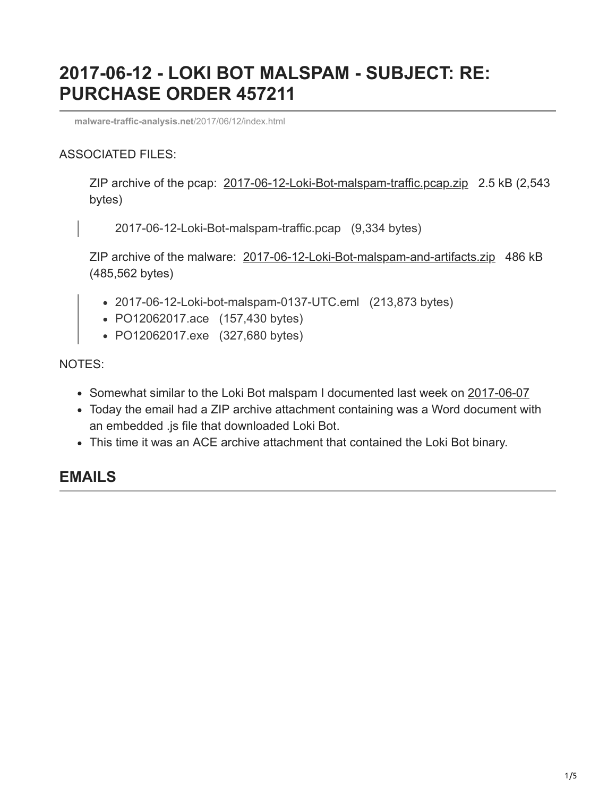# **2017-06-12 - LOKI BOT MALSPAM - SUBJECT: RE: PURCHASE ORDER 457211**

**[malware-traffic-analysis.net](http://www.malware-traffic-analysis.net/2017/06/12/index.html)**/2017/06/12/index.html

#### ASSOCIATED FILES:

ZIP archive of the pcap: [2017-06-12-Loki-Bot-malspam-traffic.pcap.zip](http://www.malware-traffic-analysis.net/2017/06/12/2017-06-12-Loki-Bot-malspam-traffic.pcap.zip) 2.5 kB (2,543 bytes)

2017-06-12-Loki-Bot-malspam-traffic.pcap (9,334 bytes)

ZIP archive of the malware: [2017-06-12-Loki-Bot-malspam-and-artifacts.zip](http://www.malware-traffic-analysis.net/2017/06/12/2017-06-12-Loki-Bot-malspam-and-artifacts.zip) 486 kB (485,562 bytes)

- 2017-06-12-Loki-bot-malspam-0137-UTC.eml (213,873 bytes)
- PO12062017.ace (157,430 bytes)
- PO12062017.exe (327,680 bytes)

NOTES:

- Somewhat similar to the Loki Bot malspam I documented last week on [2017-06-07](http://www.malware-traffic-analysis.net/2017/06/07/index.html)
- Today the email had a ZIP archive attachment containing was a Word document with an embedded .js file that downloaded Loki Bot.
- This time it was an ACE archive attachment that contained the Loki Bot binary.

#### **EMAILS**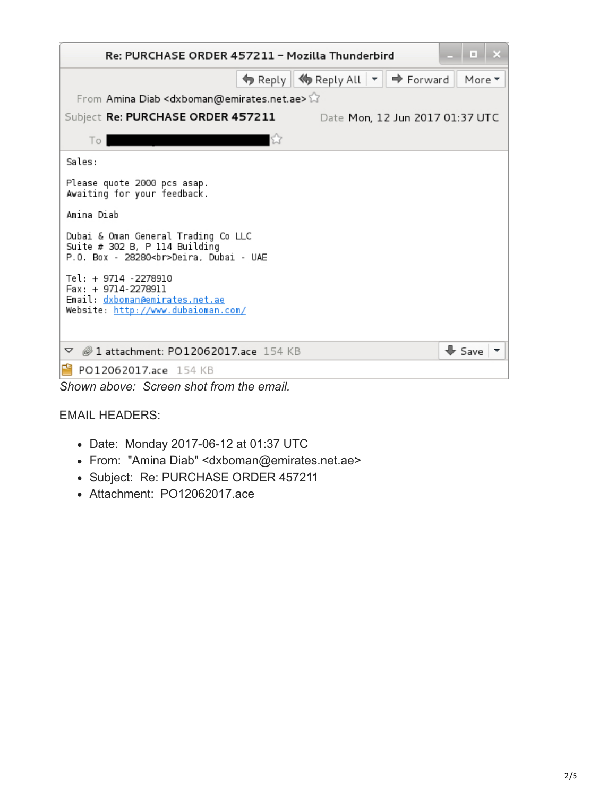| E.<br>Re: PURCHASE ORDER 457211 - Mozilla Thunderbird                                                               |                                                                |  |  |  |  |  |  |
|---------------------------------------------------------------------------------------------------------------------|----------------------------------------------------------------|--|--|--|--|--|--|
|                                                                                                                     | ♦ Reply    ♦ Reply All   ▼    ♦ Forward<br>More $\overline{ }$ |  |  |  |  |  |  |
| From Amina Diab <dxboman@emirates.net.ae></dxboman@emirates.net.ae>                                                 |                                                                |  |  |  |  |  |  |
| Subject Re: PURCHASE ORDER 457211                                                                                   | Date Mon, 12 Jun 2017 01:37 UTC                                |  |  |  |  |  |  |
| To I                                                                                                                |                                                                |  |  |  |  |  |  |
| Sales:                                                                                                              |                                                                |  |  |  |  |  |  |
| Please quote 2000 pcs asap.<br>Awaiting for your feedback.                                                          |                                                                |  |  |  |  |  |  |
| Amina Diab                                                                                                          |                                                                |  |  |  |  |  |  |
| Dubai & Oman General Trading Co LLC<br>Suite $# 302 B$ , P 114 Building<br>P.O. Box - 28280<br>Deira, Dubai - UAE   |                                                                |  |  |  |  |  |  |
| Tel: + 9714 -2278910<br>Fax: + 9714-2278911<br>Email: dxboman@emirates.net.ae<br>Website: http://www.dubaioman.com/ |                                                                |  |  |  |  |  |  |
| 21 attachment: PO12062017.ace 154 KB<br>▽                                                                           | $\bigstar$ Save                                                |  |  |  |  |  |  |
| PO12062017.ace 154 KB                                                                                               |                                                                |  |  |  |  |  |  |

*Shown above: Screen shot from the email.*

#### EMAIL HEADERS:

- Date: Monday 2017-06-12 at 01:37 UTC
- From: "Amina Diab" <dxboman@emirates.net.ae>
- Subject: Re: PURCHASE ORDER 457211
- Attachment: PO12062017.ace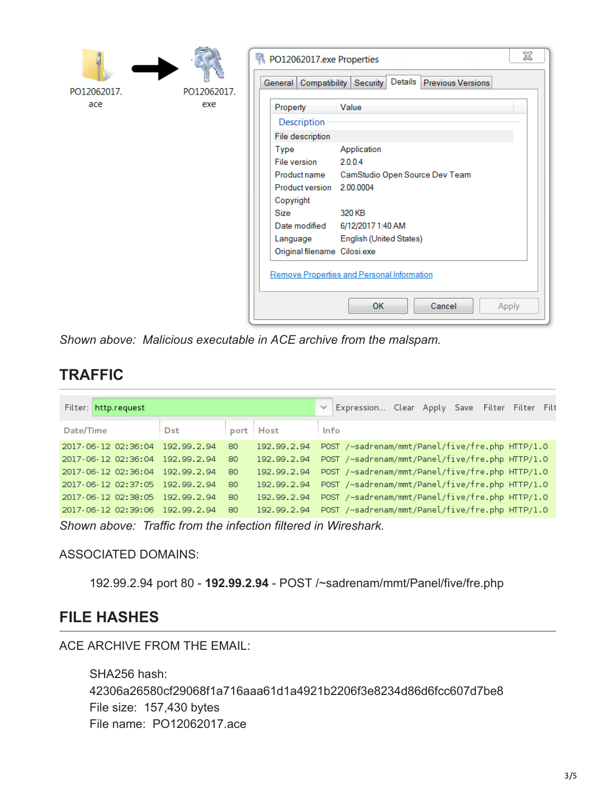|             |                              | X<br>PO12062017.exe Properties<br>General   Compatibility   Security   Details   Previous Versions |                                            |       |  |
|-------------|------------------------------|----------------------------------------------------------------------------------------------------|--------------------------------------------|-------|--|
| PO12062017. | PO12062017.                  |                                                                                                    |                                            |       |  |
| ace         | exe                          | Property                                                                                           | Value                                      |       |  |
|             |                              | Description                                                                                        |                                            |       |  |
|             |                              | File description                                                                                   |                                            |       |  |
|             |                              | Type<br>File version                                                                               | Application<br>2.0.0.4                     |       |  |
|             |                              | Product name                                                                                       | CamStudio Open Source Dev Team             |       |  |
|             |                              | <b>Product version</b>                                                                             | 2.00.0004                                  |       |  |
|             |                              | Copyright<br><b>Size</b>                                                                           | 320 KB                                     |       |  |
|             |                              | Date modified                                                                                      | 6/12/2017 1:40 AM                          |       |  |
|             |                              | Language                                                                                           | English (United States)                    |       |  |
|             | Original filename Cilosi.exe |                                                                                                    |                                            |       |  |
|             |                              |                                                                                                    | Remove Properties and Personal Information |       |  |
|             |                              |                                                                                                    | OK<br>Cancel                               | Apply |  |

*Shown above: Malicious executable in ACE archive from the malspam.*

### **TRAFFIC**

| Filter: http.request |             |      |             | Expression Clear Apply Save Filter Filter Filt  |
|----------------------|-------------|------|-------------|-------------------------------------------------|
| Date/Time            | Dst         | port | Host        | Info                                            |
| 2017 06 12 02:36:04  | 192.99.2.94 | 80   | 192.99.2.94 | POST /~sadrenam/mmt/Panel/five/fre.php HTTP/1.0 |
| 2017-06-12 02:36:04  | 192.99.2.94 | 80   | 192.99.2.94 | POST /~sadrenam/mmt/Panel/five/fre.php HTTP/1.0 |
| 2017 06 12 02:36:04  | 192.99.2.94 | 80   | 192.99.2.94 | POST /~sadrenam/mmt/Panel/five/fre.php HTTP/1.0 |
| 2017-06-12 02:37:05  | 192.99.2.94 | 80   | 192.99.2.94 | POST /~sadrenam/mmt/Panel/five/fre.php HTTP/1.0 |
| 2017-06-12 02:38:05  | 192.99.2.94 | 80   | 192.99.2.94 | POST /~sadrenam/mmt/Panel/five/fre.php HTTP/1.0 |
| 2017 06 12 02:39:06  | 192.99.2.94 | 80   | 192.99.2.94 | POST /~sadrenam/mmt/Panel/five/fre.php HTTP/1.0 |

*Shown above: Traffic from the infection filtered in Wireshark.*

ASSOCIATED DOMAINS:

192.99.2.94 port 80 - **192.99.2.94** - POST /~sadrenam/mmt/Panel/five/fre.php

### **FILE HASHES**

ACE ARCHIVE FROM THE EMAIL:

SHA256 hash: 42306a26580cf29068f1a716aaa61d1a4921b2206f3e8234d86d6fcc607d7be8 File size: 157,430 bytes File name: PO12062017.ace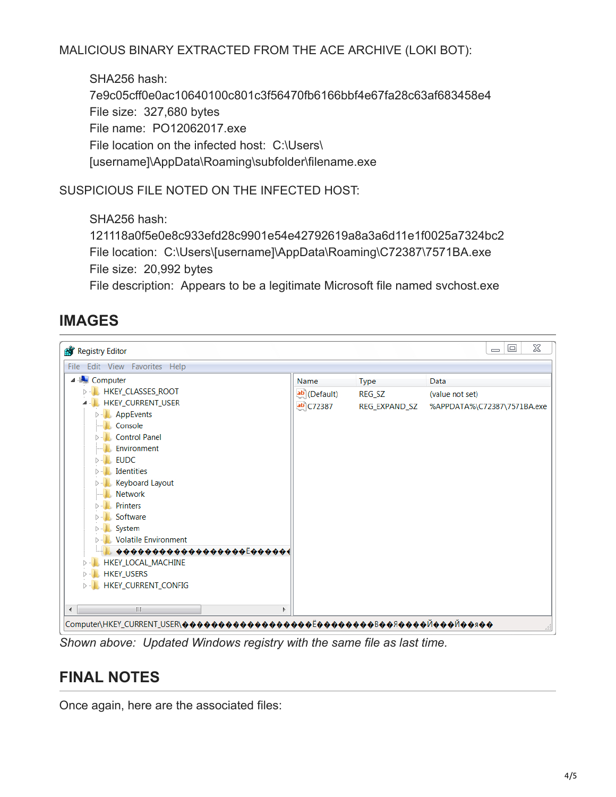#### MALICIOUS BINARY EXTRACTED FROM THE ACE ARCHIVE (LOKI BOT):

SHA256 hash: 7e9c05cff0e0ac10640100c801c3f56470fb6166bbf4e67fa28c63af683458e4 File size: 327,680 bytes File name: PO12062017.exe File location on the infected host: C:\Users\ [username]\AppData\Roaming\subfolder\filename.exe

SUSPICIOUS FILE NOTED ON THE INFECTED HOST:

SHA256 hash:

```
121118a0f5e0e8c933efd28c9901e54e42792619a8a3a6d11e1f0025a7324bc2
File location: C:\Users\[username]\AppData\Roaming\C72387\7571BA.exe
File size: 20,992 bytes
```
File description: Appears to be a legitimate Microsoft file named svchost.exe

## **IMAGES**



*Shown above: Updated Windows registry with the same file as last time.*

### **FINAL NOTES**

Once again, here are the associated files: